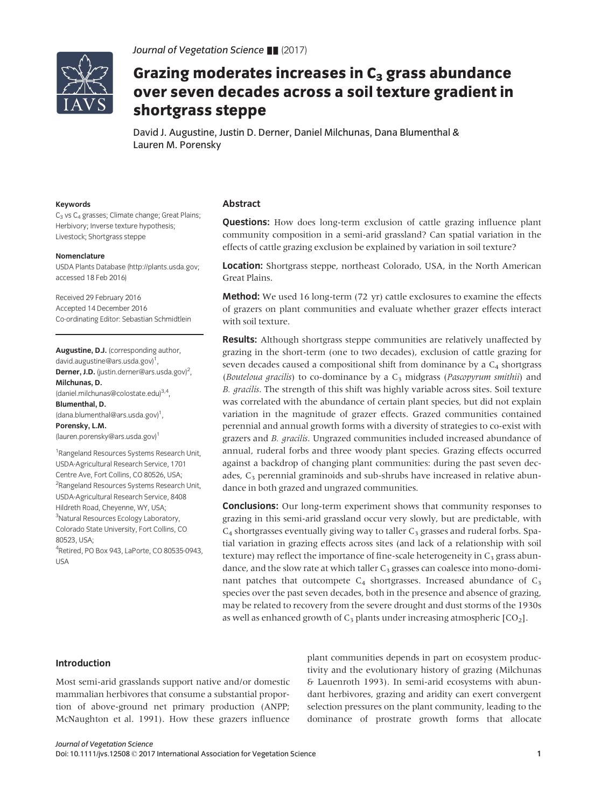

# Grazing moderates increases in  $C_3$  grass abundance over seven decades across a soil texture gradient in shortgrass steppe

David J. Augustine, Justin D. Derner, Daniel Milchunas, Dana Blumenthal & Lauren M. Porensky

## Keywords

C<sub>3</sub> vs C<sub>4</sub> grasses; Climate change; Great Plains; Herbivory; Inverse texture hypothesis; Livestock; Shortgrass steppe

#### Nomenclature

USDA Plants Database [\(http://plants.usda.gov](http://plants.usda.gov); accessed 18 Feb 2016)

Received 29 February 2016 Accepted 14 December 2016 Co-ordinating Editor: Sebastian Schmidtlein

Augustine, D.J. (corresponding author, david.augustine@ars.usda.gov)<sup>1</sup>, Derner, J.D. (justin.derner@ars.usda.gov)<sup>2</sup>, Milchunas, D. (daniel.milchunas@colostate.edu)3,4, Blumenthal, D. (dana.blumenthal@ars.usda.gov)<sup>1</sup>, Porensky, L.M. (lauren.porensky@ars.usda.gov)1 <sup>1</sup> Rangeland Resources Systems Research Unit, USDA-Agricultural Research Service, 1701 Centre Ave, Fort Collins, CO 80526, USA;

<sup>2</sup>Rangeland Resources Systems Research Unit, USDA-Agricultural Research Service, 8408 Hildreth Road, Cheyenne, WY, USA; <sup>3</sup>Natural Resources Ecology Laboratory, Colorado State University, Fort Collins, CO 80523, USA; 4 Retired, PO Box 943, LaPorte, CO 80535-0943, USA

# Abstract

**Questions:** How does long-term exclusion of cattle grazing influence plant community composition in a semi-arid grassland? Can spatial variation in the effects of cattle grazing exclusion be explained by variation in soil texture?

Location: Shortgrass steppe, northeast Colorado, USA, in the North American Great Plains.

Method: We used 16 long-term (72 yr) cattle exclosures to examine the effects of grazers on plant communities and evaluate whether grazer effects interact with soil texture.

**Results:** Although shortgrass steppe communities are relatively unaffected by grazing in the short-term (one to two decades), exclusion of cattle grazing for seven decades caused a compositional shift from dominance by a  $C_4$  shortgrass (Bouteloua gracilis) to co-dominance by a  $C_3$  midgrass (Pascopyrum smithii) and B. gracilis. The strength of this shift was highly variable across sites. Soil texture was correlated with the abundance of certain plant species, but did not explain variation in the magnitude of grazer effects. Grazed communities contained perennial and annual growth forms with a diversity of strategies to co-exist with grazers and B. gracilis. Ungrazed communities included increased abundance of annual, ruderal forbs and three woody plant species. Grazing effects occurred against a backdrop of changing plant communities: during the past seven decades, C<sub>3</sub> perennial graminoids and sub-shrubs have increased in relative abundance in both grazed and ungrazed communities.

**Conclusions:** Our long-term experiment shows that community responses to grazing in this semi-arid grassland occur very slowly, but are predictable, with  $C_4$  shortgrasses eventually giving way to taller  $C_3$  grasses and ruderal forbs. Spatial variation in grazing effects across sites (and lack of a relationship with soil texture) may reflect the importance of fine-scale heterogeneity in  $C_3$  grass abundance, and the slow rate at which taller  $C_3$  grasses can coalesce into mono-dominant patches that outcompete  $C_4$  shortgrasses. Increased abundance of  $C_3$ species over the past seven decades, both in the presence and absence of grazing, may be related to recovery from the severe drought and dust storms of the 1930s as well as enhanced growth of  $C_3$  plants under increasing atmospheric  $[CO_2]$ .

## Introduction

Most semi-arid grasslands support native and/or domestic mammalian herbivores that consume a substantial proportion of above-ground net primary production (ANPP; McNaughton et al. 1991). How these grazers influence plant communities depends in part on ecosystem productivity and the evolutionary history of grazing (Milchunas & Lauenroth 1993). In semi-arid ecosystems with abundant herbivores, grazing and aridity can exert convergent selection pressures on the plant community, leading to the dominance of prostrate growth forms that allocate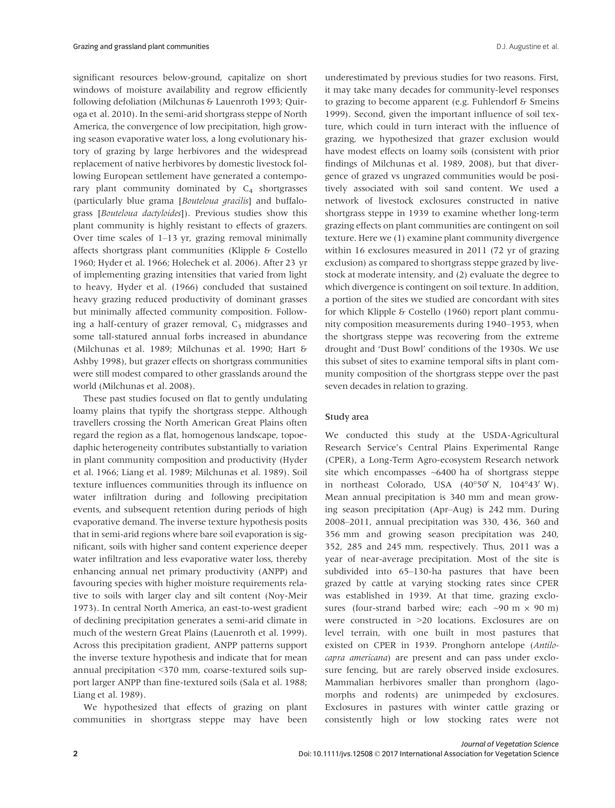significant resources below-ground, capitalize on short windows of moisture availability and regrow efficiently following defoliation (Milchunas & Lauenroth 1993; Quiroga et al. 2010). In the semi-arid shortgrass steppe of North America, the convergence of low precipitation, high growing season evaporative water loss, a long evolutionary history of grazing by large herbivores and the widespread replacement of native herbivores by domestic livestock following European settlement have generated a contemporary plant community dominated by  $C_4$  shortgrasses (particularly blue grama [Bouteloua gracilis] and buffalograss [Bouteloua dactyloides]). Previous studies show this plant community is highly resistant to effects of grazers. Over time scales of 1–13 yr, grazing removal minimally affects shortgrass plant communities (Klipple & Costello 1960; Hyder et al. 1966; Holechek et al. 2006). After 23 yr of implementing grazing intensities that varied from light to heavy, Hyder et al. (1966) concluded that sustained heavy grazing reduced productivity of dominant grasses but minimally affected community composition. Following a half-century of grazer removal,  $C_3$  midgrasses and some tall-statured annual forbs increased in abundance (Milchunas et al. 1989; Milchunas et al. 1990; Hart & Ashby 1998), but grazer effects on shortgrass communities were still modest compared to other grasslands around the world (Milchunas et al. 2008).

These past studies focused on flat to gently undulating loamy plains that typify the shortgrass steppe. Although travellers crossing the North American Great Plains often regard the region as a flat, homogenous landscape, topoedaphic heterogeneity contributes substantially to variation in plant community composition and productivity (Hyder et al. 1966; Liang et al. 1989; Milchunas et al. 1989). Soil texture influences communities through its influence on water infiltration during and following precipitation events, and subsequent retention during periods of high evaporative demand. The inverse texture hypothesis posits that in semi-arid regions where bare soil evaporation is significant, soils with higher sand content experience deeper water infiltration and less evaporative water loss, thereby enhancing annual net primary productivity (ANPP) and favouring species with higher moisture requirements relative to soils with larger clay and silt content (Noy-Meir 1973). In central North America, an east-to-west gradient of declining precipitation generates a semi-arid climate in much of the western Great Plains (Lauenroth et al. 1999). Across this precipitation gradient, ANPP patterns support the inverse texture hypothesis and indicate that for mean annual precipitation <370 mm, coarse-textured soils support larger ANPP than fine-textured soils (Sala et al. 1988; Liang et al. 1989).

We hypothesized that effects of grazing on plant communities in shortgrass steppe may have been

underestimated by previous studies for two reasons. First, it may take many decades for community-level responses to grazing to become apparent (e.g. Fuhlendorf & Smeins 1999). Second, given the important influence of soil texture, which could in turn interact with the influence of grazing, we hypothesized that grazer exclusion would have modest effects on loamy soils (consistent with prior findings of Milchunas et al. 1989, 2008), but that divergence of grazed vs ungrazed communities would be positively associated with soil sand content. We used a network of livestock exclosures constructed in native shortgrass steppe in 1939 to examine whether long-term grazing effects on plant communities are contingent on soil texture. Here we (1) examine plant community divergence within 16 exclosures measured in 2011 (72 yr of grazing exclusion) as compared to shortgrass steppe grazed by livestock at moderate intensity, and (2) evaluate the degree to which divergence is contingent on soil texture. In addition, a portion of the sites we studied are concordant with sites for which Klipple & Costello (1960) report plant community composition measurements during 1940–1953, when the shortgrass steppe was recovering from the extreme drought and 'Dust Bowl' conditions of the 1930s. We use this subset of sites to examine temporal sifts in plant community composition of the shortgrass steppe over the past seven decades in relation to grazing.

#### Study area

We conducted this study at the USDA-Agricultural Research Service's Central Plains Experimental Range (CPER), a Long-Term Agro-ecosystem Research network site which encompasses  $~6400$  ha of shortgrass steppe in northeast Colorado, USA  $(40^{\circ}50' \text{ N}, 104^{\circ}43' \text{ W})$ . Mean annual precipitation is 340 mm and mean growing season precipitation (Apr–Aug) is 242 mm. During 2008–2011, annual precipitation was 330, 436, 360 and 356 mm and growing season precipitation was 240, 352, 285 and 245 mm, respectively. Thus, 2011 was a year of near-average precipitation. Most of the site is subdivided into 65–130-ha pastures that have been grazed by cattle at varying stocking rates since CPER was established in 1939. At that time, grazing exclosures (four-strand barbed wire; each  $\sim$ 90 m  $\times$  90 m) were constructed in >20 locations. Exclosures are on level terrain, with one built in most pastures that existed on CPER in 1939. Pronghorn antelope (Antilocapra americana) are present and can pass under exclosure fencing, but are rarely observed inside exclosures. Mammalian herbivores smaller than pronghorn (lagomorphs and rodents) are unimpeded by exclosures. Exclosures in pastures with winter cattle grazing or consistently high or low stocking rates were not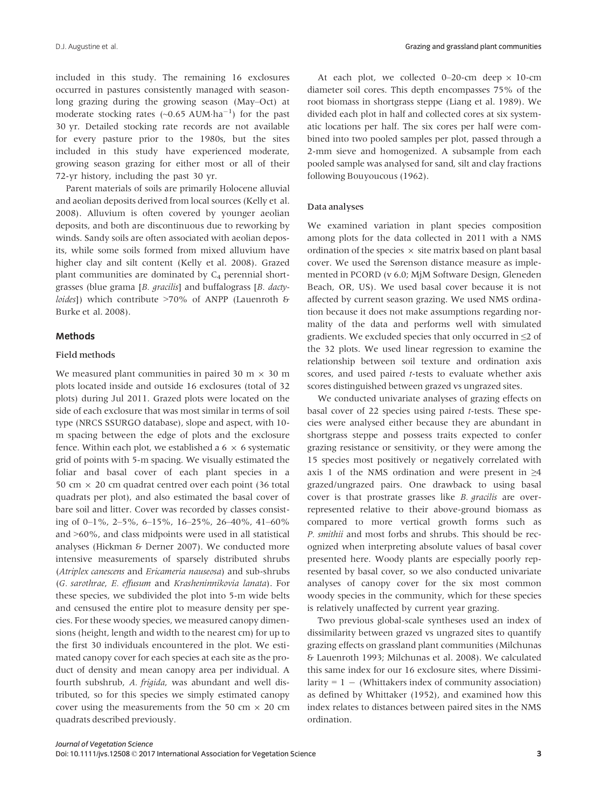included in this study. The remaining 16 exclosures occurred in pastures consistently managed with seasonlong grazing during the growing season (May–Oct) at moderate stocking rates  $(\sim 0.65 \text{ AUM} \cdot \text{ha}^{-1})$  for the past 30 yr. Detailed stocking rate records are not available for every pasture prior to the 1980s, but the sites included in this study have experienced moderate, growing season grazing for either most or all of their 72-yr history, including the past 30 yr.

Parent materials of soils are primarily Holocene alluvial and aeolian deposits derived from local sources (Kelly et al. 2008). Alluvium is often covered by younger aeolian deposits, and both are discontinuous due to reworking by winds. Sandy soils are often associated with aeolian deposits, while some soils formed from mixed alluvium have higher clay and silt content (Kelly et al. 2008). Grazed plant communities are dominated by  $C_4$  perennial shortgrasses (blue grama [B. gracilis] and buffalograss [B. dactyloides]) which contribute >70% of ANPP (Lauenroth & Burke et al. 2008).

# Methods

## Field methods

We measured plant communities in paired 30 m  $\times$  30 m plots located inside and outside 16 exclosures (total of 32 plots) during Jul 2011. Grazed plots were located on the side of each exclosure that was most similar in terms of soil type (NRCS SSURGO database), slope and aspect, with 10 m spacing between the edge of plots and the exclosure fence. Within each plot, we established a  $6 \times 6$  systematic grid of points with 5-m spacing. We visually estimated the foliar and basal cover of each plant species in a 50 cm  $\times$  20 cm quadrat centred over each point (36 total quadrats per plot), and also estimated the basal cover of bare soil and litter. Cover was recorded by classes consisting of 0–1%, 2–5%, 6–15%, 16–25%, 26–40%, 41–60% and >60%, and class midpoints were used in all statistical analyses (Hickman & Derner 2007). We conducted more intensive measurements of sparsely distributed shrubs (Atriplex canescens and Ericameria nauseosa) and sub-shrubs (G. sarothrae, E. effusum and Krasheninnikovia lanata). For these species, we subdivided the plot into 5-m wide belts and censused the entire plot to measure density per species. For these woody species, we measured canopy dimensions (height, length and width to the nearest cm) for up to the first 30 individuals encountered in the plot. We estimated canopy cover for each species at each site as the product of density and mean canopy area per individual. A fourth subshrub, A. frigida, was abundant and well distributed, so for this species we simply estimated canopy cover using the measurements from the 50 cm  $\times$  20 cm quadrats described previously.

At each plot, we collected 0–20-cm deep  $\times$  10-cm diameter soil cores. This depth encompasses 75% of the root biomass in shortgrass steppe (Liang et al. 1989). We divided each plot in half and collected cores at six systematic locations per half. The six cores per half were combined into two pooled samples per plot, passed through a 2-mm sieve and homogenized. A subsample from each pooled sample was analysed for sand, silt and clay fractions following Bouyoucous (1962).

#### Data analyses

We examined variation in plant species composition among plots for the data collected in 2011 with a NMS ordination of the species  $\times$  site matrix based on plant basal cover. We used the Sørenson distance measure as implemented in PCORD (v 6.0; MjM Software Design, Gleneden Beach, OR, US). We used basal cover because it is not affected by current season grazing. We used NMS ordination because it does not make assumptions regarding normality of the data and performs well with simulated gradients. We excluded species that only occurred in ≤2 of the 32 plots. We used linear regression to examine the relationship between soil texture and ordination axis scores, and used paired t-tests to evaluate whether axis scores distinguished between grazed vs ungrazed sites.

We conducted univariate analyses of grazing effects on basal cover of 22 species using paired t-tests. These species were analysed either because they are abundant in shortgrass steppe and possess traits expected to confer grazing resistance or sensitivity, or they were among the 15 species most positively or negatively correlated with axis 1 of the NMS ordination and were present in  $\geq 4$ grazed/ungrazed pairs. One drawback to using basal cover is that prostrate grasses like B. gracilis are overrepresented relative to their above-ground biomass as compared to more vertical growth forms such as P. smithii and most forbs and shrubs. This should be recognized when interpreting absolute values of basal cover presented here. Woody plants are especially poorly represented by basal cover, so we also conducted univariate analyses of canopy cover for the six most common woody species in the community, which for these species is relatively unaffected by current year grazing.

Two previous global-scale syntheses used an index of dissimilarity between grazed vs ungrazed sites to quantify grazing effects on grassland plant communities (Milchunas & Lauenroth 1993; Milchunas et al. 2008). We calculated this same index for our 16 exclosure sites, where Dissimilarity =  $1 - (Whittakers index of community association)$ as defined by Whittaker (1952), and examined how this index relates to distances between paired sites in the NMS ordination.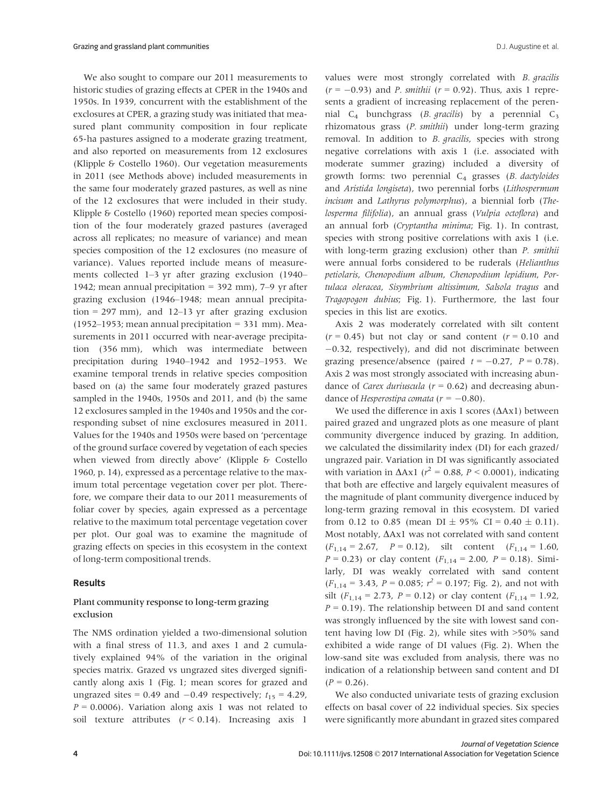We also sought to compare our 2011 measurements to historic studies of grazing effects at CPER in the 1940s and 1950s. In 1939, concurrent with the establishment of the exclosures at CPER, a grazing study was initiated that measured plant community composition in four replicate 65-ha pastures assigned to a moderate grazing treatment, and also reported on measurements from 12 exclosures (Klipple & Costello 1960). Our vegetation measurements in 2011 (see Methods above) included measurements in the same four moderately grazed pastures, as well as nine of the 12 exclosures that were included in their study. Klipple & Costello (1960) reported mean species composition of the four moderately grazed pastures (averaged across all replicates; no measure of variance) and mean species composition of the 12 exclosures (no measure of variance). Values reported include means of measurements collected 1–3 yr after grazing exclusion (1940– 1942; mean annual precipitation = 392 mm), 7–9 yr after grazing exclusion (1946–1948; mean annual precipitation = 297 mm), and  $12-13$  yr after grazing exclusion (1952–1953; mean annual precipitation = 331 mm). Measurements in 2011 occurred with near-average precipitation (356 mm), which was intermediate between precipitation during 1940–1942 and 1952–1953. We examine temporal trends in relative species composition based on (a) the same four moderately grazed pastures sampled in the 1940s, 1950s and 2011, and (b) the same 12 exclosures sampled in the 1940s and 1950s and the corresponding subset of nine exclosures measured in 2011. Values for the 1940s and 1950s were based on 'percentage of the ground surface covered by vegetation of each species when viewed from directly above' (Klipple & Costello 1960, p. 14), expressed as a percentage relative to the maximum total percentage vegetation cover per plot. Therefore, we compare their data to our 2011 measurements of foliar cover by species, again expressed as a percentage relative to the maximum total percentage vegetation cover per plot. Our goal was to examine the magnitude of grazing effects on species in this ecosystem in the context of long-term compositional trends.

# Results

# Plant community response to long-term grazing exclusion

The NMS ordination yielded a two-dimensional solution with a final stress of 11.3, and axes 1 and 2 cumulatively explained 94% of the variation in the original species matrix. Grazed vs ungrazed sites diverged significantly along axis 1 (Fig. 1; mean scores for grazed and ungrazed sites = 0.49 and  $-0.49$  respectively;  $t_{15} = 4.29$ ,  $P = 0.0006$ ). Variation along axis 1 was not related to soil texture attributes  $(r < 0.14)$ . Increasing axis 1 values were most strongly correlated with B. gracilis  $(r = -0.93)$  and *P. smithii*  $(r = 0.92)$ . Thus, axis 1 represents a gradient of increasing replacement of the perennial  $C_4$  bunchgrass (*B. gracilis*) by a perennial  $C_3$ rhizomatous grass (P. smithii) under long-term grazing removal. In addition to *B. gracilis*, species with strong negative correlations with axis 1 (i.e. associated with moderate summer grazing) included a diversity of growth forms: two perennial  $C_4$  grasses (B. dactyloides and Aristida longiseta), two perennial forbs (Lithospermum incisum and Lathyrus polymorphus), a biennial forb (Thelosperma filifolia), an annual grass (Vulpia octoflora) and an annual forb (Cryptantha minima; Fig. 1). In contrast, species with strong positive correlations with axis 1 (i.e. with long-term grazing exclusion) other than *P. smithii* were annual forbs considered to be ruderals (Helianthus petiolaris, Chenopodium album, Chenopodium lepidium, Portulaca oleracea, Sisymbrium altissimum, Salsola tragus and Tragopogon dubius; Fig. 1). Furthermore, the last four species in this list are exotics.

Axis 2 was moderately correlated with silt content  $(r = 0.45)$  but not clay or sand content  $(r = 0.10$  and  $-0.32$ , respectively), and did not discriminate between grazing presence/absence (paired  $t = -0.27$ ,  $P = 0.78$ ). Axis 2 was most strongly associated with increasing abundance of *Carex duriuscula* ( $r = 0.62$ ) and decreasing abundance of Hesperostipa comata ( $r = -0.80$ ).

We used the difference in axis 1 scores ( $\Delta Ax1$ ) between paired grazed and ungrazed plots as one measure of plant community divergence induced by grazing. In addition, we calculated the dissimilarity index (DI) for each grazed/ ungrazed pair. Variation in DI was significantly associated with variation in  $\Delta$ Ax1 ( $r^2$  = 0.88, *P* < 0.0001), indicating that both are effective and largely equivalent measures of the magnitude of plant community divergence induced by long-term grazing removal in this ecosystem. DI varied from 0.12 to 0.85 (mean DI  $\pm$  95% CI = 0.40  $\pm$  0.11). Most notably,  $\Delta Ax1$  was not correlated with sand content  $(F_{1,14} = 2.67, P = 0.12)$ , silt content  $(F_{1,14} = 1.60)$ ,  $P = 0.23$ ) or clay content ( $F_{1,14} = 2.00$ ,  $P = 0.18$ ). Similarly, DI was weakly correlated with sand content  $(F_{1,14} = 3.43, P = 0.085; r^2 = 0.197; Fig. 2)$ , and not with silt ( $F_{1,14} = 2.73$ ,  $P = 0.12$ ) or clay content ( $F_{1,14} = 1.92$ ,  $P = 0.19$ ). The relationship between DI and sand content was strongly influenced by the site with lowest sand content having low DI (Fig. 2), while sites with >50% sand exhibited a wide range of DI values (Fig. 2). When the low-sand site was excluded from analysis, there was no indication of a relationship between sand content and DI  $(P = 0.26)$ .

We also conducted univariate tests of grazing exclusion effects on basal cover of 22 individual species. Six species were significantly more abundant in grazed sites compared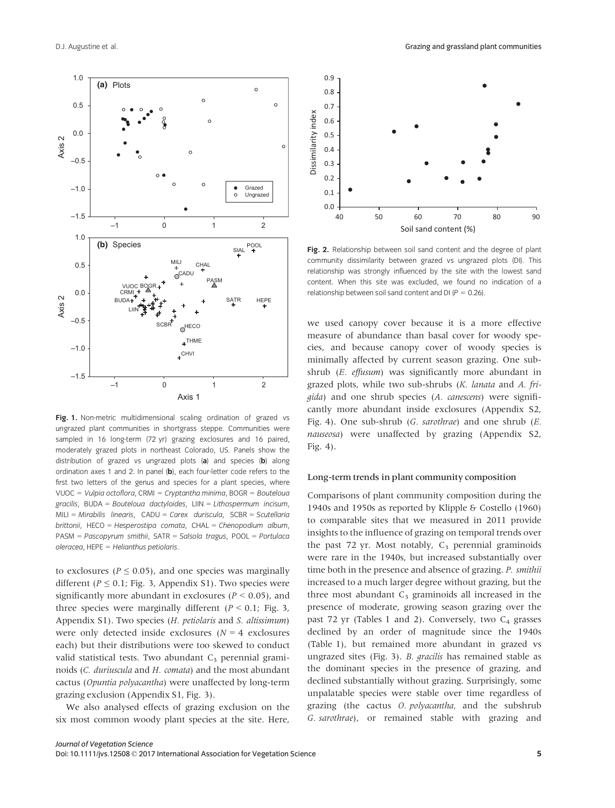

Fig. 1. Non-metric multidimensional scaling ordination of grazed vs ungrazed plant communities in shortgrass steppe. Communities were sampled in 16 long-term (72 yr) grazing exclosures and 16 paired, moderately grazed plots in northeast Colorado, US. Panels show the distribution of grazed vs ungrazed plots  $(a)$  and species  $(b)$  along ordination axes 1 and 2. In panel (b), each four-letter code refers to the first two letters of the genus and species for a plant species, where VUOC = Vulpia octoflora, CRMI = Cryptantha minima, BOGR = Bouteloua gracilis, BUDA = Bouteloua dactyloides,  $L$ IIN = Lithospermum incisum,  $MILI = Mirabilis linearis, CADU = Carex duringcuriscula, SCBR = Scutellaria$ brittonii, HECO = Hesperostipa comata, CHAL = Chenopodium album, PASM = Pascopyrum smithii, SATR = Salsola tragus, POOL = Portulaca oleracea, HEPE = Helianthus petiolaris.

to exclosures ( $P \leq 0.05$ ), and one species was marginally different ( $P \le 0.1$ ; Fig. 3, Appendix S1). Two species were significantly more abundant in exclosures ( $P < 0.05$ ), and three species were marginally different ( $P \le 0.1$ ; Fig. 3, Appendix S1). Two species (H. petiolaris and S. altissimum) were only detected inside exclosures ( $N = 4$  exclosures each) but their distributions were too skewed to conduct valid statistical tests. Two abundant  $C_3$  perennial graminoids (C. duriuscula and H. comata) and the most abundant cactus (Opuntia polyacantha) were unaffected by long-term grazing exclusion (Appendix S1, Fig. 3).

We also analysed effects of grazing exclusion on the six most common woody plant species at the site. Here,



Fig. 2. Relationship between soil sand content and the degree of plant community dissimilarity between grazed vs ungrazed plots (DI). This relationship was strongly influenced by the site with the lowest sand content. When this site was excluded, we found no indication of a relationship between soil sand content and DI ( $P = 0.26$ ).

we used canopy cover because it is a more effective measure of abundance than basal cover for woody species, and because canopy cover of woody species is minimally affected by current season grazing. One subshrub (E. effusum) was significantly more abundant in grazed plots, while two sub-shrubs (K. lanata and A. frigida) and one shrub species (A. canescens) were significantly more abundant inside exclosures (Appendix S2, Fig. 4). One sub-shrub (G. sarothrae) and one shrub (E. nauseosa) were unaffected by grazing (Appendix S2, Fig. 4).

## Long-term trends in plant community composition

Comparisons of plant community composition during the 1940s and 1950s as reported by Klipple & Costello (1960) to comparable sites that we measured in 2011 provide insights to the influence of grazing on temporal trends over the past 72 yr. Most notably,  $C_3$  perennial graminoids were rare in the 1940s, but increased substantially over time both in the presence and absence of grazing. P. smithii increased to a much larger degree without grazing, but the three most abundant  $C_3$  graminoids all increased in the presence of moderate, growing season grazing over the past 72 yr (Tables 1 and 2). Conversely, two  $C_4$  grasses declined by an order of magnitude since the 1940s (Table 1), but remained more abundant in grazed vs ungrazed sites (Fig. 3). B. gracilis has remained stable as the dominant species in the presence of grazing, and declined substantially without grazing. Surprisingly, some unpalatable species were stable over time regardless of grazing (the cactus O. polyacantha, and the subshrub G. sarothrae), or remained stable with grazing and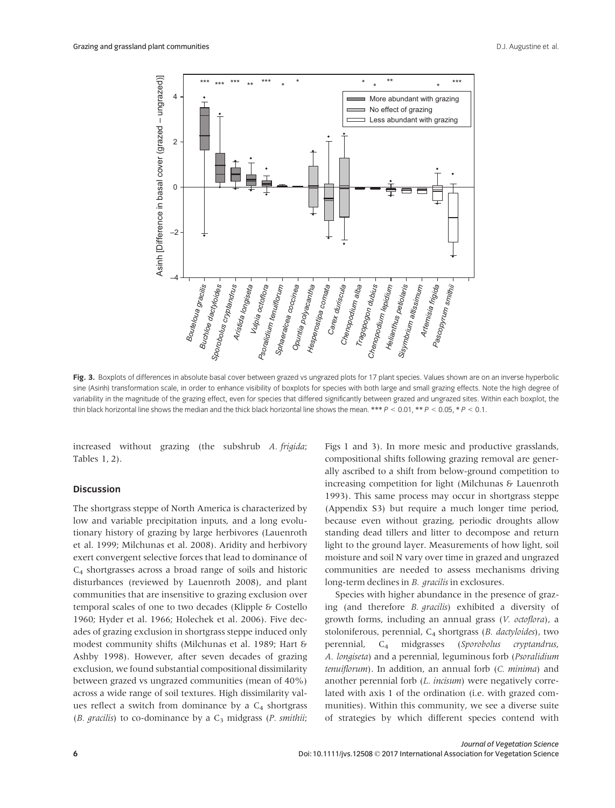

Fig. 3. Boxplots of differences in absolute basal cover between grazed vs ungrazed plots for 17 plant species. Values shown are on an inverse hyperbolic sine (Asinh) transformation scale, in order to enhance visibility of boxplots for species with both large and small grazing effects. Note the high degree of variability in the magnitude of the grazing effect, even for species that differed significantly between grazed and ungrazed sites. Within each boxplot, the thin black horizontal line shows the median and the thick black horizontal line shows the mean. \*\*\*  $P < 0.01$ , \*\*  $P < 0.05$ , \*  $P < 0.1$ .

increased without grazing (the subshrub A. frigida; Tables 1, 2).

### **Discussion**

The shortgrass steppe of North America is characterized by low and variable precipitation inputs, and a long evolutionary history of grazing by large herbivores (Lauenroth et al. 1999; Milchunas et al. 2008). Aridity and herbivory exert convergent selective forces that lead to dominance of C4 shortgrasses across a broad range of soils and historic disturbances (reviewed by Lauenroth 2008), and plant communities that are insensitive to grazing exclusion over temporal scales of one to two decades (Klipple & Costello 1960; Hyder et al. 1966; Holechek et al. 2006). Five decades of grazing exclusion in shortgrass steppe induced only modest community shifts (Milchunas et al. 1989; Hart & Ashby 1998). However, after seven decades of grazing exclusion, we found substantial compositional dissimilarity between grazed vs ungrazed communities (mean of 40%) across a wide range of soil textures. High dissimilarity values reflect a switch from dominance by a  $C_4$  shortgrass (B. gracilis) to co-dominance by a  $C_3$  midgrass (P. smithii; Figs 1 and 3). In more mesic and productive grasslands, compositional shifts following grazing removal are generally ascribed to a shift from below-ground competition to increasing competition for light (Milchunas & Lauenroth 1993). This same process may occur in shortgrass steppe (Appendix S3) but require a much longer time period, because even without grazing, periodic droughts allow standing dead tillers and litter to decompose and return light to the ground layer. Measurements of how light, soil moisture and soil N vary over time in grazed and ungrazed communities are needed to assess mechanisms driving long-term declines in B. gracilis in exclosures.

Species with higher abundance in the presence of grazing (and therefore B. gracilis) exhibited a diversity of growth forms, including an annual grass (V. octoflora), a stoloniferous, perennial, C<sub>4</sub> shortgrass (B. dactyloides), two perennial, C<sub>4</sub> midgrasses (Sporobolus cryptandrus, A. longiseta) and a perennial, leguminous forb (Psoralidium tenuiflorum). In addition, an annual forb (C. minima) and another perennial forb (L. incisum) were negatively correlated with axis 1 of the ordination (i.e. with grazed communities). Within this community, we see a diverse suite of strategies by which different species contend with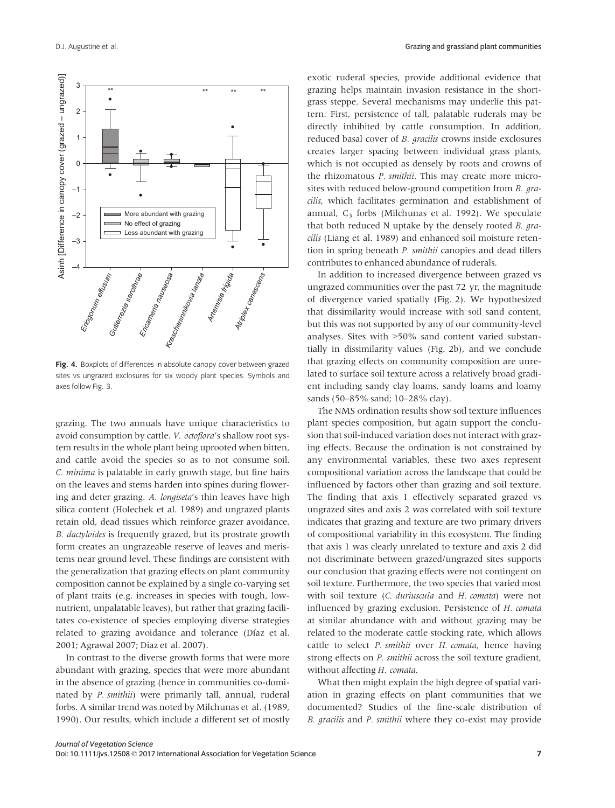

Fig. 4. Boxplots of differences in absolute canopy cover between grazed sites vs ungrazed exclosures for six woody plant species. Symbols and axes follow Fig. 3.

grazing. The two annuals have unique characteristics to avoid consumption by cattle. V. octoflora's shallow root system results in the whole plant being uprooted when bitten, and cattle avoid the species so as to not consume soil. C. minima is palatable in early growth stage, but fine hairs on the leaves and stems harden into spines during flowering and deter grazing. A. longiseta's thin leaves have high silica content (Holechek et al. 1989) and ungrazed plants retain old, dead tissues which reinforce grazer avoidance. B. dactyloides is frequently grazed, but its prostrate growth form creates an ungrazeable reserve of leaves and meristems near ground level. These findings are consistent with the generalization that grazing effects on plant community composition cannot be explained by a single co-varying set of plant traits (e.g. increases in species with tough, lownutrient, unpalatable leaves), but rather that grazing facilitates co-existence of species employing diverse strategies related to grazing avoidance and tolerance (Díaz et al. 2001; Agrawal 2007; Diaz et al. 2007).

In contrast to the diverse growth forms that were more abundant with grazing, species that were more abundant in the absence of grazing (hence in communities co-dominated by P. smithii) were primarily tall, annual, ruderal forbs. A similar trend was noted by Milchunas et al. (1989, 1990). Our results, which include a different set of mostly

exotic ruderal species, provide additional evidence that grazing helps maintain invasion resistance in the shortgrass steppe. Several mechanisms may underlie this pattern. First, persistence of tall, palatable ruderals may be directly inhibited by cattle consumption. In addition, reduced basal cover of B. gracilis crowns inside exclosures creates larger spacing between individual grass plants, which is not occupied as densely by roots and crowns of the rhizomatous P. smithii. This may create more microsites with reduced below-ground competition from B. *gra*cilis, which facilitates germination and establishment of annual,  $C_3$  forbs (Milchunas et al. 1992). We speculate that both reduced N uptake by the densely rooted B. gracilis (Liang et al. 1989) and enhanced soil moisture retention in spring beneath P. smithii canopies and dead tillers contributes to enhanced abundance of ruderals.

In addition to increased divergence between grazed vs ungrazed communities over the past 72 yr, the magnitude of divergence varied spatially (Fig. 2). We hypothesized that dissimilarity would increase with soil sand content, but this was not supported by any of our community-level analyses. Sites with >50% sand content varied substantially in dissimilarity values (Fig. 2b), and we conclude that grazing effects on community composition are unrelated to surface soil texture across a relatively broad gradient including sandy clay loams, sandy loams and loamy sands (50–85% sand; 10–28% clay).

The NMS ordination results show soil texture influences plant species composition, but again support the conclusion that soil-induced variation does not interact with grazing effects. Because the ordination is not constrained by any environmental variables, these two axes represent compositional variation across the landscape that could be influenced by factors other than grazing and soil texture. The finding that axis 1 effectively separated grazed vs ungrazed sites and axis 2 was correlated with soil texture indicates that grazing and texture are two primary drivers of compositional variability in this ecosystem. The finding that axis 1 was clearly unrelated to texture and axis 2 did not discriminate between grazed/ungrazed sites supports our conclusion that grazing effects were not contingent on soil texture. Furthermore, the two species that varied most with soil texture (C. duriuscula and H. comata) were not influenced by grazing exclusion. Persistence of H. comata at similar abundance with and without grazing may be related to the moderate cattle stocking rate, which allows cattle to select P. smithii over H. comata, hence having strong effects on *P. smithii* across the soil texture gradient, without affecting H. comata.

What then might explain the high degree of spatial variation in grazing effects on plant communities that we documented? Studies of the fine-scale distribution of B. gracilis and P. smithii where they co-exist may provide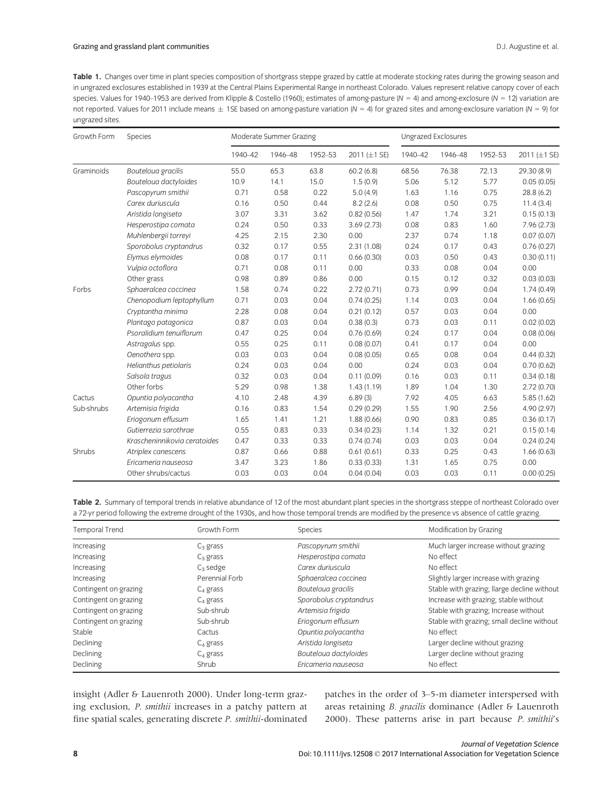Table 1. Changes over time in plant species composition of shortgrass steppe grazed by cattle at moderate stocking rates during the growing season and in ungrazed exclosures established in 1939 at the Central Plains Experimental Range in northeast Colorado. Values represent relative canopy cover of each species. Values for 1940-1953 are derived from Klipple & Costello (1960); estimates of among-pasture ( $N = 4$ ) and among-exclosure ( $N = 12$ ) variation are not reported. Values for 2011 include means  $\pm$  1SE based on among-pasture variation (N = 4) for grazed sites and among-exclosure variation (N = 9) for ungrazed sites.

| Growth Form | Species                      | Moderate Summer Grazing |         |         |              | Ungrazed Exclosures |         |         |              |
|-------------|------------------------------|-------------------------|---------|---------|--------------|---------------------|---------|---------|--------------|
|             |                              | 1940-42                 | 1946-48 | 1952-53 | 2011 (±1 SE) | 1940-42             | 1946-48 | 1952-53 | 2011 (±1 SE) |
| Graminoids  | Bouteloua gracilis           | 55.0                    | 65.3    | 63.8    | 60.2(6.8)    | 68.56               | 76.38   | 72.13   | 29.30 (8.9)  |
|             | Bouteloua dactyloides        | 10.9                    | 14.1    | 15.0    | 1.5(0.9)     | 5.06                | 5.12    | 5.77    | 0.05(0.05)   |
|             | Pascopyrum smithii           | 0.71                    | 0.58    | 0.22    | 5.0(4.9)     | 1.63                | 1.16    | 0.75    | 28.8 (6.2)   |
|             | Carex duriuscula             | 0.16                    | 0.50    | 0.44    | 8.2(2.6)     | 0.08                | 0.50    | 0.75    | 11.4(3.4)    |
|             | Aristida longiseta           | 3.07                    | 3.31    | 3.62    | 0.82(0.56)   | 1.47                | 1.74    | 3.21    | 0.15(0.13)   |
|             | Hesperostipa comata          | 0.24                    | 0.50    | 0.33    | 3.69(2.73)   | 0.08                | 0.83    | 1.60    | 7.96 (2.73)  |
|             | Muhlenbergii torreyi         | 4.25                    | 2.15    | 2.30    | 0.00         | 2.37                | 0.74    | 1.18    | 0.07(0.07)   |
|             | Sporobolus cryptandrus       | 0.32                    | 0.17    | 0.55    | 2.31(1.08)   | 0.24                | 0.17    | 0.43    | 0.76(0.27)   |
|             | Elymus elymoides             | 0.08                    | 0.17    | 0.11    | 0.66(0.30)   | 0.03                | 0.50    | 0.43    | 0.30(0.11)   |
|             | Vulpia octoflora             | 0.71                    | 0.08    | 0.11    | 0.00         | 0.33                | 0.08    | 0.04    | 0.00         |
|             | Other grass                  | 0.98                    | 0.89    | 0.86    | 0.00         | 0.15                | 0.12    | 0.32    | 0.03(0.03)   |
| Forbs       | Sphaeralcea coccinea         | 1.58                    | 0.74    | 0.22    | 2.72(0.71)   | 0.73                | 0.99    | 0.04    | 1.74(0.49)   |
|             | Chenopodium leptophyllum     | 0.71                    | 0.03    | 0.04    | 0.74(0.25)   | 1.14                | 0.03    | 0.04    | 1.66(0.65)   |
|             | Cryptantha minima            | 2.28                    | 0.08    | 0.04    | 0.21(0.12)   | 0.57                | 0.03    | 0.04    | 0.00         |
|             | Plantago patagonica          | 0.87                    | 0.03    | 0.04    | 0.38(0.3)    | 0.73                | 0.03    | 0.11    | 0.02(0.02)   |
|             | Psoralidium tenuiflorum      | 0.47                    | 0.25    | 0.04    | 0.76(0.69)   | 0.24                | 0.17    | 0.04    | 0.08(0.06)   |
|             | Astragalus spp.              | 0.55                    | 0.25    | 0.11    | 0.08(0.07)   | 0.41                | 0.17    | 0.04    | 0.00         |
|             | Oenothera spp.               | 0.03                    | 0.03    | 0.04    | 0.08(0.05)   | 0.65                | 0.08    | 0.04    | 0.44(0.32)   |
|             | Helianthus petiolaris        | 0.24                    | 0.03    | 0.04    | 0.00         | 0.24                | 0.03    | 0.04    | 0.70(0.62)   |
|             | Salsola tragus               | 0.32                    | 0.03    | 0.04    | 0.11(0.09)   | 0.16                | 0.03    | 0.11    | 0.34(0.18)   |
|             | Other forbs                  | 5.29                    | 0.98    | 1.38    | 1.43(1.19)   | 1.89                | 1.04    | 1.30    | 2.72(0.70)   |
| Cactus      | Opuntia polyacantha          | 4.10                    | 2.48    | 4.39    | 6.89(3)      | 7.92                | 4.05    | 6.63    | 5.85(1.62)   |
| Sub-shrubs  | Artemisia frigida            | 0.16                    | 0.83    | 1.54    | 0.29(0.29)   | 1.55                | 1.90    | 2.56    | 4.90 (2.97)  |
|             | Eriogonum effusum            | 1.65                    | 1.41    | 1.21    | 1.88(0.66)   | 0.90                | 0.83    | 0.85    | 0.36(0.17)   |
|             | Gutierrezia sarothrae        | 0.55                    | 0.83    | 0.33    | 0.34(0.23)   | 1.14                | 1.32    | 0.21    | 0.15(0.14)   |
|             | Krascheninnikovia ceratoides | 0.47                    | 0.33    | 0.33    | 0.74(0.74)   | 0.03                | 0.03    | 0.04    | 0.24(0.24)   |
| Shrubs      | Atriplex canescens           | 0.87                    | 0.66    | 0.88    | 0.61(0.61)   | 0.33                | 0.25    | 0.43    | 1.66(0.63)   |
|             | Ericameria nauseosa          | 3.47                    | 3.23    | 1.86    | 0.33(0.33)   | 1.31                | 1.65    | 0.75    | 0.00         |
|             | Other shrubs/cactus          | 0.03                    | 0.03    | 0.04    | 0.04(0.04)   | 0.03                | 0.03    | 0.11    | 0.00(0.25)   |

Table 2. Summary of temporal trends in relative abundance of 12 of the most abundant plant species in the shortgrass steppe of northeast Colorado over a 72-yr period following the extreme drought of the 1930s, and how those temporal trends are modified by the presence vs absence of cattle grazing.

| Temporal Trend        | Growth Form    | Species                | Modification by Grazing                     |
|-----------------------|----------------|------------------------|---------------------------------------------|
| Increasing            | $C_3$ grass    | Pascopyrum smithii     | Much larger increase without grazing        |
| Increasing            | $C_3$ grass    | Hesperostipa comata    | No effect                                   |
| Increasing            | $C_3$ sedge    | Carex duriuscula       | No effect                                   |
| Increasing            | Perennial Forb | Sphaeralcea coccinea   | Slightly larger increase with grazing       |
| Contingent on grazing | $C_4$ grass    | Bouteloua gracilis     | Stable with grazing; llarge decline without |
| Contingent on grazing | $C4$ grass     | Sporobolus cryptandrus | Increase with grazing; stable without       |
| Contingent on grazing | Sub-shrub      | Artemisia frigida      | Stable with grazing; Increase without       |
| Contingent on grazing | Sub-shrub      | Eriogonum effusum      | Stable with grazing; small decline without  |
| Stable                | Cactus         | Opuntia polyacantha    | No effect                                   |
| Declining             | $C_4$ grass    | Aristida longiseta     | Larger decline without grazing              |
| Declining             | $C_4$ grass    | Bouteloua dactyloides  | Larger decline without grazing              |
| Declining             | Shrub          | Ericameria nauseosa    | No effect                                   |

insight (Adler & Lauenroth 2000). Under long-term grazing exclusion, P. smithii increases in a patchy pattern at fine spatial scales, generating discrete P. smithii-dominated patches in the order of 3–5-m diameter interspersed with areas retaining B. gracilis dominance (Adler & Lauenroth 2000). These patterns arise in part because P. smithii's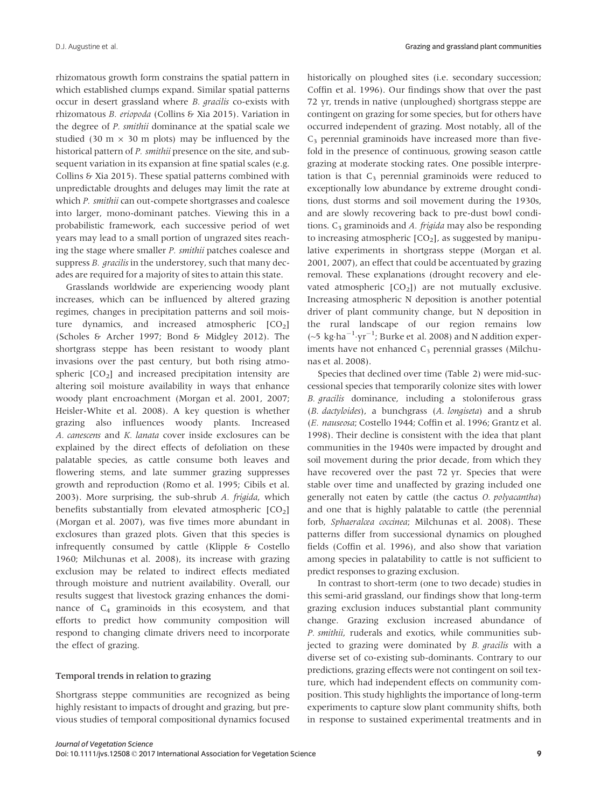rhizomatous growth form constrains the spatial pattern in which established clumps expand. Similar spatial patterns occur in desert grassland where B. gracilis co-exists with rhizomatous B. eriopoda (Collins & Xia 2015). Variation in the degree of P. smithii dominance at the spatial scale we studied (30 m  $\times$  30 m plots) may be influenced by the historical pattern of P. smithii presence on the site, and subsequent variation in its expansion at fine spatial scales (e.g. Collins & Xia 2015). These spatial patterns combined with unpredictable droughts and deluges may limit the rate at which P. smithii can out-compete shortgrasses and coalesce into larger, mono-dominant patches. Viewing this in a probabilistic framework, each successive period of wet years may lead to a small portion of ungrazed sites reaching the stage where smaller P. smithii patches coalesce and suppress *B. gracilis* in the understorey, such that many decades are required for a majority of sites to attain this state.

Grasslands worldwide are experiencing woody plant increases, which can be influenced by altered grazing regimes, changes in precipitation patterns and soil moisture dynamics, and increased atmospheric  $[CO<sub>2</sub>]$ (Scholes & Archer 1997; Bond & Midgley 2012). The shortgrass steppe has been resistant to woody plant invasions over the past century, but both rising atmospheric  $[CO<sub>2</sub>]$  and increased precipitation intensity are altering soil moisture availability in ways that enhance woody plant encroachment (Morgan et al. 2001, 2007; Heisler-White et al. 2008). A key question is whether grazing also influences woody plants. Increased A. canescens and K. lanata cover inside exclosures can be explained by the direct effects of defoliation on these palatable species, as cattle consume both leaves and flowering stems, and late summer grazing suppresses growth and reproduction (Romo et al. 1995; Cibils et al. 2003). More surprising, the sub-shrub A. frigida, which benefits substantially from elevated atmospheric  $[CO<sub>2</sub>]$ (Morgan et al. 2007), was five times more abundant in exclosures than grazed plots. Given that this species is infrequently consumed by cattle (Klipple & Costello 1960; Milchunas et al. 2008), its increase with grazing exclusion may be related to indirect effects mediated through moisture and nutrient availability. Overall, our results suggest that livestock grazing enhances the dominance of  $C_4$  graminoids in this ecosystem, and that efforts to predict how community composition will respond to changing climate drivers need to incorporate the effect of grazing.

### Temporal trends in relation to grazing

Shortgrass steppe communities are recognized as being highly resistant to impacts of drought and grazing, but previous studies of temporal compositional dynamics focused

historically on ploughed sites (i.e. secondary succession; Coffin et al. 1996). Our findings show that over the past 72 yr, trends in native (unploughed) shortgrass steppe are contingent on grazing for some species, but for others have occurred independent of grazing. Most notably, all of the  $C_3$  perennial graminoids have increased more than fivefold in the presence of continuous, growing season cattle grazing at moderate stocking rates. One possible interpretation is that  $C_3$  perennial graminoids were reduced to exceptionally low abundance by extreme drought conditions, dust storms and soil movement during the 1930s, and are slowly recovering back to pre-dust bowl conditions.  $C_3$  graminoids and A. *frigida* may also be responding to increasing atmospheric  $[CO<sub>2</sub>]$ , as suggested by manipulative experiments in shortgrass steppe (Morgan et al. 2001, 2007), an effect that could be accentuated by grazing removal. These explanations (drought recovery and elevated atmospheric  $[CO<sub>2</sub>]$  are not mutually exclusive. Increasing atmospheric N deposition is another potential driver of plant community change, but N deposition in the rural landscape of our region remains low ( $\sim$ 5 kg·ha<sup>-1</sup>·yr<sup>-1</sup>; Burke et al. 2008) and N addition experiments have not enhanced  $C_3$  perennial grasses (Milchunas et al. 2008).

Species that declined over time (Table 2) were mid-successional species that temporarily colonize sites with lower B. gracilis dominance, including a stoloniferous grass (B. dactyloides), a bunchgrass (A. longiseta) and a shrub (E. nauseosa; Costello 1944; Coffin et al. 1996; Grantz et al. 1998). Their decline is consistent with the idea that plant communities in the 1940s were impacted by drought and soil movement during the prior decade, from which they have recovered over the past 72 yr. Species that were stable over time and unaffected by grazing included one generally not eaten by cattle (the cactus O. polyacantha) and one that is highly palatable to cattle (the perennial forb, Sphaeralcea coccinea; Milchunas et al. 2008). These patterns differ from successional dynamics on ploughed fields (Coffin et al. 1996), and also show that variation among species in palatability to cattle is not sufficient to predict responses to grazing exclusion.

In contrast to short-term (one to two decade) studies in this semi-arid grassland, our findings show that long-term grazing exclusion induces substantial plant community change. Grazing exclusion increased abundance of P. smithii, ruderals and exotics, while communities subjected to grazing were dominated by B. gracilis with a diverse set of co-existing sub-dominants. Contrary to our predictions, grazing effects were not contingent on soil texture, which had independent effects on community composition. This study highlights the importance of long-term experiments to capture slow plant community shifts, both in response to sustained experimental treatments and in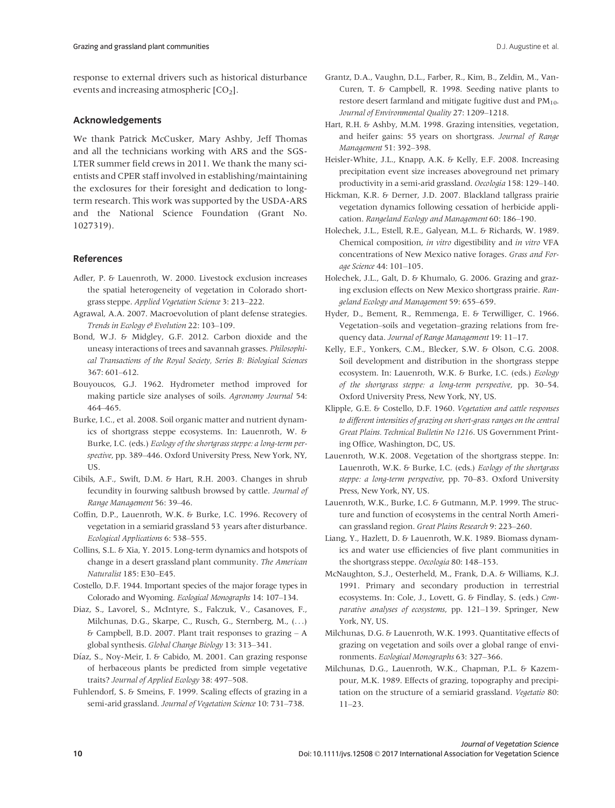# Acknowledgements

We thank Patrick McCusker, Mary Ashby, Jeff Thomas and all the technicians working with ARS and the SGS-LTER summer field crews in 2011. We thank the many scientists and CPER staff involved in establishing/maintaining the exclosures for their foresight and dedication to longterm research. This work was supported by the USDA-ARS and the National Science Foundation (Grant No. 1027319).

# References

- Adler, P. & Lauenroth, W. 2000. Livestock exclusion increases the spatial heterogeneity of vegetation in Colorado shortgrass steppe. Applied Vegetation Science 3: 213–222.
- Agrawal, A.A. 2007. Macroevolution of plant defense strategies. Trends in Ecology & Evolution 22: 103-109.
- Bond, W.J. & Midgley, G.F. 2012. Carbon dioxide and the uneasy interactions of trees and savannah grasses. Philosophical Transactions of the Royal Society, Series B: Biological Sciences 367: 601–612.
- Bouyoucos, G.J. 1962. Hydrometer method improved for making particle size analyses of soils. Agronomy Journal 54: 464–465.
- Burke, I.C., et al. 2008. Soil organic matter and nutrient dynamics of shortgrass steppe ecosystems. In: Lauenroth, W. & Burke, I.C. (eds.) Ecology of the shortgrass steppe: a long-term perspective, pp. 389–446. Oxford University Press, New York, NY, US.
- Cibils, A.F., Swift, D.M. & Hart, R.H. 2003. Changes in shrub fecundity in fourwing saltbush browsed by cattle. Journal of Range Management 56: 39–46.
- Coffin, D.P., Lauenroth, W.K. & Burke, I.C. 1996. Recovery of vegetation in a semiarid grassland 53 years after disturbance. Ecological Applications 6: 538–555.
- Collins, S.L. & Xia, Y. 2015. Long-term dynamics and hotspots of change in a desert grassland plant community. The American Naturalist 185: E30–E45.
- Costello, D.F. 1944. Important species of the major forage types in Colorado and Wyoming. Ecological Monographs 14: 107–134.
- Diaz, S., Lavorel, S., McIntyre, S., Falczuk, V., Casanoves, F., Milchunas, D.G., Skarpe, C., Rusch, G., Sternberg, M., (...) & Campbell, B.D. 2007. Plant trait responses to grazing – A global synthesis. Global Change Biology 13: 313–341.
- Díaz, S., Noy-Meir, I. & Cabido, M. 2001. Can grazing response of herbaceous plants be predicted from simple vegetative traits? Journal of Applied Ecology 38: 497–508.
- Fuhlendorf, S. & Smeins, F. 1999. Scaling effects of grazing in a semi-arid grassland. Journal of Vegetation Science 10: 731–738.
- Grantz, D.A., Vaughn, D.L., Farber, R., Kim, B., Zeldin, M., Van-Curen, T. & Campbell, R. 1998. Seeding native plants to restore desert farmland and mitigate fugitive dust and PM<sub>10</sub>. Journal of Environmental Quality 27: 1209–1218.
- Hart, R.H. & Ashby, M.M. 1998. Grazing intensities, vegetation, and heifer gains: 55 years on shortgrass. Journal of Range Management 51: 392–398.
- Heisler-White, J.L., Knapp, A.K. & Kelly, E.F. 2008. Increasing precipitation event size increases aboveground net primary productivity in a semi-arid grassland. Oecologia 158: 129–140.
- Hickman, K.R. & Derner, J.D. 2007. Blackland tallgrass prairie vegetation dynamics following cessation of herbicide application. Rangeland Ecology and Management 60: 186–190.
- Holechek, J.L., Estell, R.E., Galyean, M.L. & Richards, W. 1989. Chemical composition, in vitro digestibility and in vitro VFA concentrations of New Mexico native forages. Grass and Forage Science 44: 101–105.
- Holechek, J.L., Galt, D. & Khumalo, G. 2006. Grazing and grazing exclusion effects on New Mexico shortgrass prairie. Rangeland Ecology and Management 59: 655–659.
- Hyder, D., Bement, R., Remmenga, E. & Terwilliger, C. 1966. Vegetation–soils and vegetation–grazing relations from frequency data. Journal of Range Management 19: 11–17.
- Kelly, E.F., Yonkers, C.M., Blecker, S.W. & Olson, C.G. 2008. Soil development and distribution in the shortgrass steppe ecosystem. In: Lauenroth, W.K. & Burke, I.C. (eds.) Ecology of the shortgrass steppe: a long-term perspective, pp. 30–54. Oxford University Press, New York, NY, US.
- Klipple, G.E. & Costello, D.F. 1960. Vegetation and cattle responses to different intensities of grazing on short-grass ranges on the central Great Plains. Technical Bulletin No 1216. US Government Printing Office, Washington, DC, US.
- Lauenroth, W.K. 2008. Vegetation of the shortgrass steppe. In: Lauenroth, W.K. & Burke, I.C. (eds.) Ecology of the shortgrass steppe: a long-term perspective, pp. 70–83. Oxford University Press, New York, NY, US.
- Lauenroth, W.K., Burke, I.C. & Gutmann, M.P. 1999. The structure and function of ecosystems in the central North American grassland region. Great Plains Research 9: 223–260.
- Liang, Y., Hazlett, D. & Lauenroth, W.K. 1989. Biomass dynamics and water use efficiencies of five plant communities in the shortgrass steppe. Oecologia 80: 148–153.
- McNaughton, S.J., Oesterheld, M., Frank, D.A. & Williams, K.J. 1991. Primary and secondary production in terrestrial ecosystems. In: Cole, J., Lovett, G. & Findlay, S. (eds.) Comparative analyses of ecosystems, pp. 121–139. Springer, New York, NY, US.
- Milchunas, D.G. & Lauenroth, W.K. 1993. Quantitative effects of grazing on vegetation and soils over a global range of environments. Ecological Monographs 63: 327–366.
- Milchunas, D.G., Lauenroth, W.K., Chapman, P.L. & Kazempour, M.K. 1989. Effects of grazing, topography and precipitation on the structure of a semiarid grassland. Vegetatio 80: 11–23.